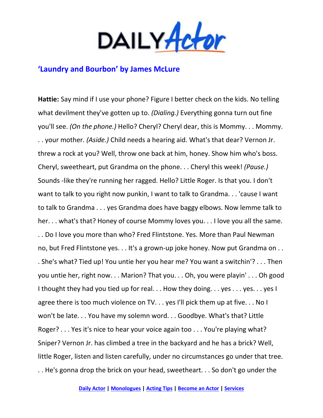

## **'Laundry and Bourbon' by James McLure**

**Hattie:** Say mind if I use your phone? Figure I better check on the kids. No telling what devilment they've gotten up to. *(Dialing.)* Everything gonna turn out fine you'll see. *(On the phone.)* Hello? Cheryl? Cheryl dear, this is Mommy. . . Mommy. . . your mother. *(Aside.)* Child needs a hearing aid. What's that dear? Vernon Jr. threw a rock at you? Well, throw one back at him, honey. Show him who's boss. Cheryl, sweetheart, put Grandma on the phone. . . Cheryl this week! *(Pause.)* Sounds -like they're running her ragged. Hello? Little Roger. Is that you. I don't want to talk to you right now punkin, I want to talk to Grandma. . . 'cause I want to talk to Grandma . . . yes Grandma does have baggy elbows. Now lemme talk to her. . . what's that? Honey of course Mommy loves you. . . I love you all the same. . . Do I love you more than who? Fred Flintstone. Yes. More than Paul Newman no, but Fred Flintstone yes. . . It's a grown-up joke honey. Now put Grandma on . . . She's what? Tied up! You untie her you hear me? You want a switchin'? . . . Then you untie her, right now. . . Marion? That you. . . Oh, you were playin' . . . Oh good I thought they had you tied up for real... How they doing... yes... yes... yes I agree there is too much violence on TV. . . yes I'll pick them up at five. . . No I won't be late. . . You have my solemn word. . . Goodbye. What's that? Little Roger? . . . Yes it's nice to hear your voice again too . . . You're playing what? Sniper? Vernon Jr. has climbed a tree in the backyard and he has a brick? Well, little Roger, listen and listen carefully, under no circumstances go under that tree. . . He's gonna drop the brick on your head, sweetheart. . . So don't go under the